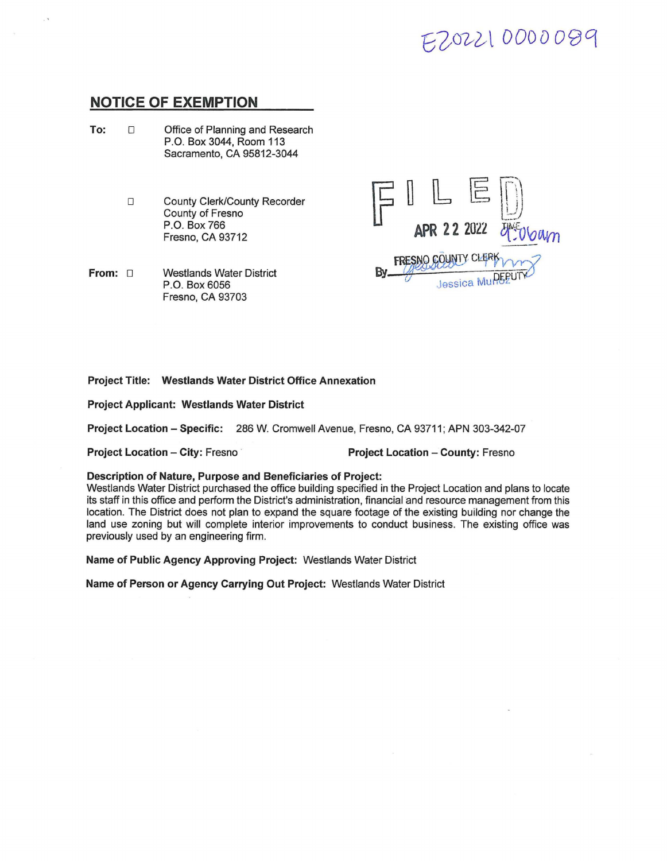## 2202210000099

### **NOTICE OF EXEMPTION**

- **To:** □ Office of Planning and Research P.O. Box 3044, Room 113 Sacramento, CA 95812-3044
	- □ County Clerk/County Recorder County of Fresno P.O. Box766 Fresno, CA 93712

**From:** □ Westlands Water District P.O. Box 6056 Fresno, CA 93703



#### **Project Title: Westlands Water District Office Annexation**

**Project Applicant: Westlands Water District** 

**Project Location** - **Specific:** 286 W. Cromwell Avenue, Fresno, CA 93711; APN 303-342-07

**Project Location** - **City:** Fresno · **Project Location** - **County:** Fresno

#### **Description of Nature, Purpose and Beneficiaries of Project:**

Westlands Water District purchased the office building specified in the Project Location and plans to locate its staff in this office and perform the District's administration, financial and resource management from this location. The District does not plan to expand the square footage of the existing building nor change the land use zoning but will complete interior improvements to conduct business. The existing office was previously used by an engineering firm.

**Name of Public Agency Approving Project:** Westlands Water District

**Name of Person or Agency Carrying Out Project:** Westlands Water District